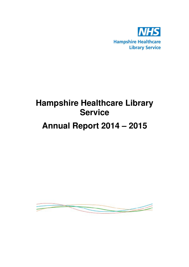

# **Hampshire Healthcare Library Service**

## **Annual Report 2014 – 2015**

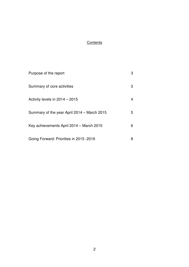### **Contents**

| Purpose of the report                       | 3 |
|---------------------------------------------|---|
| Summary of core activities                  | 3 |
| Activity levels in 2014 - 2015              | 4 |
| Summary of the year April 2014 – March 2015 | 5 |
| Key achievements April 2014 - March 2015    | 6 |
| Going Forward: Priorities in 2015 -2016     | 8 |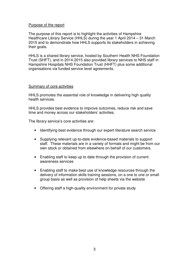#### Purpose of the report

The purpose of this report is to highlight the activities of Hampshire Healthcare Library Service (HHLS) during the year 1 April 2014 – 31 March 2015 and to demonstrate how HHLS supports its stakeholders in achieving their goals.

HHLS is a shared library service, hosted by Southern Health NHS Foundation Trust (SHFT), and in 2014-2015 also provided library services to NHS staff in Hampshire Hospitals NHS Foundation Trust (HHFT) plus some additional organisations via funded service level agreements.

#### Summary of core activities

HHLS promotes the essential role of knowledge in delivering high quality health services.

HHLS provides best evidence to improve outcomes, reduce risk and save time and money across our stakeholders' activities.

The library service's core activities are:

- Identifying best evidence through our expert literature search service
- Supplying relevant up-to-date evidence-based materials to support staff. These materials are in a variety of formats and might be from our own stock or obtained from elsewhere on behalf of our customers.
- Enabling staff to keep up to date through the provision of current awareness services
- Enabling staff to make best use of knowledge resources through the delivery of information skills training sessions, on a one to one or small group basis as well as provision of help sheets via the website
- Offering staff a high-quality environment for private study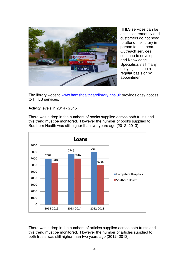

HHLS services can be accessed remotely and customers do not need to attend the library in person to use them. Outreach services continue to develop and Knowledge Specialists visit many outlying sites on a regular basis or by appointment.

The library website www.hantshealthcarelibrary.nhs.uk provides easy access to HHLS services.

#### Activity levels in 2014 - 2015

There was a drop in the numbers of books supplied across both trusts and this trend must be monitored. However the number of books supplied to Southern Health was still higher than two years ago (2012- 2013).



There was a drop in the numbers of articles supplied across both trusts and this trend must be monitored. However the number of articles supplied to both trusts was still higher than two years ago (2012- 2013).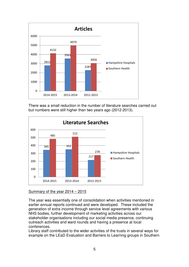

There was a small reduction in the number of literature searches carried out but numbers were still higher than two years ago (2012-2013).



Summary of the year 2014 – 2015

The year was essentially one of consolidation when activities mentioned in earlier annual reports continued and were developed. These included the generation of extra income through service level agreements with various NHS bodies, further development of marketing activities across our stakeholder organisations including our social media presence, continuing outreach activities and ward rounds and having a presence at local conferences.

Library staff contributed to the wider activities of the trusts in several ways for example on the LEaD Evaluation and Barriers to Learning groups in Southern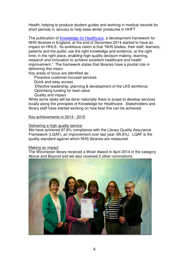Health, helping to produce student guides and working in medical records for short periods in January to help ease winter pressures in HHFT.

The publication of Knowledge for Healthcare, a development framework for NHS libraries in England, at the end of December 2014 started to have an impact on HHLS. Its ambitious vision is that "NHS bodies, their staff, learners, patients and the public use the right knowledge and evidence, at the right time, in the right place, enabling high quality decision-making .learning, research and innovation to achieve excellent healthcare and health improvement." The framework states that libraries have a pivotal role in delivering this vision.

Key areas of focus are identified as:

Proactive customer-focused services

Quick and easy access

 Effective leadership, planning & development of the LKS workforce Optimising funding for best value

Quality and impact

While some tasks will be done nationally there is scope to develop services locally along the principles of Knowledge for Healthcare. Stakeholders and library staff have started working on how best this can be achieved.

#### Key achievements in 2014 - 2015

#### Delivering a high quality service

We have achieved 97.8% compliance with the Library Quality Assurance Framework (LQAF), an improvement over last year (95.8%). LQAF is the quality standard against which NHS libraries are measured.

#### Making an impact

The Winchester library received a Wow! Award in April 2014 in the category Above and Beyond and we also received 2 other nominations.

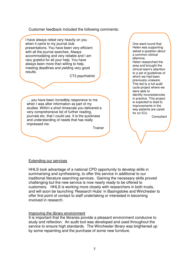Customer feedback included the following comments:

I have always relied very heavily on you when it came to my journal club presentations. You have been very efficient with all the journal searches. Always accommodating and very reliable and I am very grateful for all your help. You have always been more than willing to help, meeting deadlines and yielding very good results.

CT2 psychiatrist

… you have been incredibly responsive to me when I was after information as part of my studies. Within a short timescale you delivered a very comprehensive list of further reading, journals etc. that I could use. It is the quickness and understanding of needs that has really impressed me.

**Trainer** 

One ward round that Helen was supporting asked a question about a common clinical dilemma. Helen researched the area and brought the clinical team's attention to a set of guidelines of which we had been previously unaware. This led to a full audit cycle project where we were able to identify inconsistencies in practice. This project is expected to lead to improvements in the way patients are cared for on ICU.

**Consultant** 

#### Extending our services

HHLS took advantage of a national CPD opportunity to develop skills in summarising and synthesising, to offer this service in additional to our traditional literature searching services. Gaining the necessary skills proved challenging but the new service is now nearly ready to be offered to customers. HHLS is working more closely with researchers in both trusts, and will soon be launching 'Research Hubs' in Basingstoke and Winchester to offer first point of contact to staff undertaking or interested in becoming involved in research.

#### Improving the library environment

It is important that the libraries provide a pleasant environment conducive to study and reflection. An audit tool was developed and used throughout the service to ensure high standards. The Winchester library was brightened up by some repainting and the purchase of some new furniture.